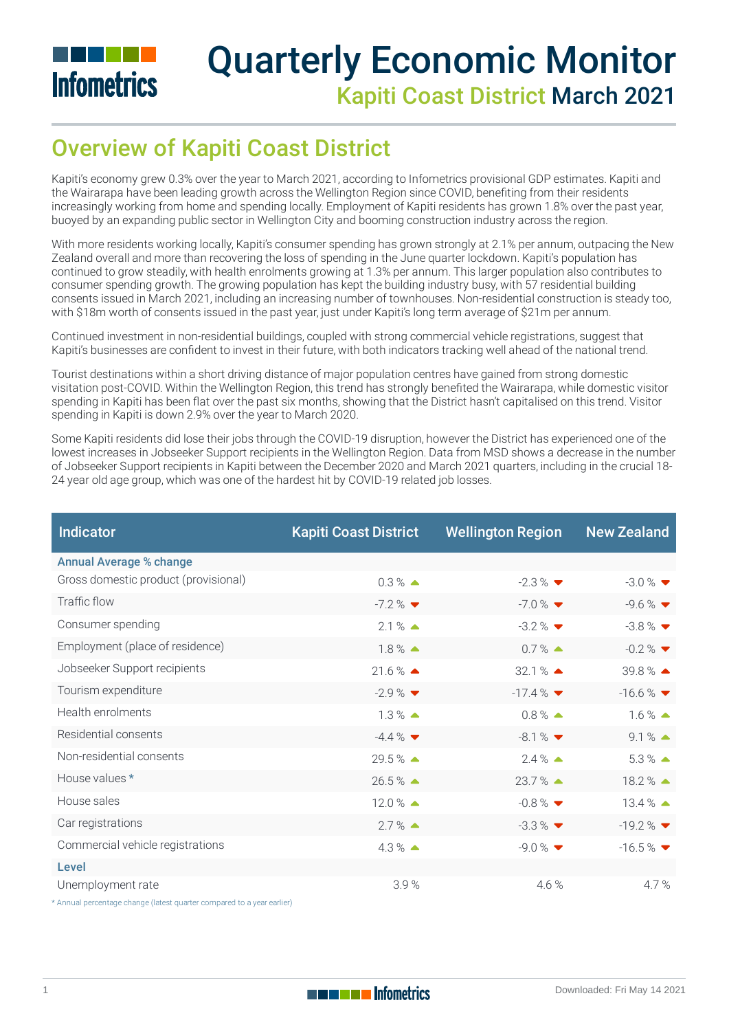

# Quarterly Economic Monitor Kapiti Coast District March 2021

# Overview of Kapiti Coast District

Kapiti's economy grew 0.3% over the year to March 2021, according to Infometrics provisional GDP estimates. Kapiti and the Wairarapa have been leading growth across the Wellington Region since COVID, benefiting from their residents increasingly working from home and spending locally. Employment of Kapiti residents has grown 1.8% over the past year, buoyed by an expanding public sector in Wellington City and booming construction industry across the region.

With more residents working locally, Kapiti's consumer spending has grown strongly at 2.1% per annum, outpacing the New Zealand overall and more than recovering the loss of spending in the June quarter lockdown. Kapiti's population has continued to grow steadily, with health enrolments growing at 1.3% per annum. This larger population also contributes to consumer spending growth. The growing population has kept the building industry busy, with 57 residential building consents issued in March 2021, including an increasing number of townhouses. Non-residential construction is steady too, with \$18m worth of consents issued in the past year, just under Kapiti's long term average of \$21m per annum.

Continued investment in non-residential buildings, coupled with strong commercial vehicle registrations, suggest that Kapiti's businesses are condent to invest in their future, with both indicators tracking well ahead of the national trend.

Tourist destinations within a short driving distance of major population centres have gained from strong domestic visitation post-COVID. Within the Wellington Region, this trend has strongly benefited the Wairarapa, while domestic visitor spending in Kapiti has been flat over the past six months, showing that the District hasn't capitalised on this trend. Visitor spending in Kapiti is down 2.9% over the year to March 2020.

Some Kapiti residents did lose their jobs through the COVID-19 disruption, however the District has experienced one of the lowest increases in Jobseeker Support recipients in the Wellington Region. Data from MSD shows a decrease in the number of Jobseeker Support recipients in Kapiti between the December 2020 and March 2021 quarters, including in the crucial 18- 24 year old age group, which was one of the hardest hit by COVID-19 related job losses.

| <b>Indicator</b>                     | <b>Kapiti Coast District</b>   | <b>Wellington Region</b>       | <b>New Zealand</b>             |
|--------------------------------------|--------------------------------|--------------------------------|--------------------------------|
| <b>Annual Average % change</b>       |                                |                                |                                |
| Gross domestic product (provisional) | $0.3\%$ $\triangle$            | $-2.3\%$                       | $-3.0\%$ $\blacktriangledown$  |
| Traffic flow                         | $-7.2 \%$ $\blacktriangledown$ | $-7.0 \%$ $\blacktriangledown$ | $-9.6\%$ $\blacktriangledown$  |
| Consumer spending                    | $2.1%$ $\triangle$             | $-3.2\%$                       | $-3.8\%$ $\blacktriangledown$  |
| Employment (place of residence)      | $1.8\%$ $\triangle$            | $0.7\%$ $\triangle$            | $-0.2\%$ $\blacktriangledown$  |
| Jobseeker Support recipients         | $21.6\%$ $\triangle$           | $32.1%$ $\triangle$            | $39.8\%$ $\triangle$           |
| Tourism expenditure                  | $-2.9\%$                       | $-17.4\%$                      | $-16.6\%$                      |
| Health enrolments                    | $1.3\%$ $\triangle$            | $0.8\%$ $\triangle$            | $1.6\%$ $\triangle$            |
| Residential consents                 | $-4.4\%$ $\blacktriangledown$  | $-8.1\%$                       | $9.1\%$ $\triangle$            |
| Non-residential consents             | 29.5 % ▲                       | $2.4\%$ $\triangle$            | $5.3 \%$ $\triangle$           |
| House values *                       | $26.5\%$ $\triangle$           | $23.7\%$ $\triangle$           | $18.2\%$ $\triangle$           |
| House sales                          | $12.0\%$ $\triangle$           | $-0.8\%$                       | $13.4\%$ $\triangle$           |
| Car registrations                    | $2.7\%$ $\triangle$            | $-3.3\%$ $\blacktriangledown$  | $-19.2\%$                      |
| Commercial vehicle registrations     | $4.3\%$ $\triangle$            | $-9.0\%$                       | $-16.5\%$ $\blacktriangledown$ |
| Level                                |                                |                                |                                |
| Unemployment rate                    | 3.9%                           | 4.6%                           | 4.7%                           |

\* Annual percentage change (latest quarter compared to a year earlier)

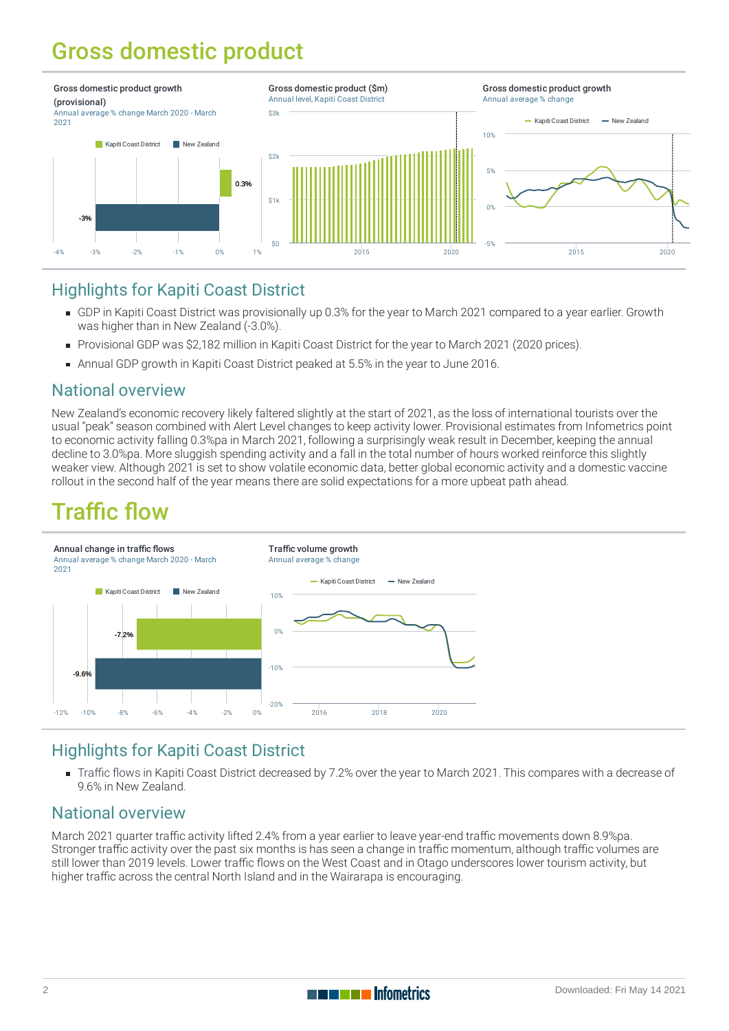# Gross domestic product



#### Highlights for Kapiti Coast District

- [GDP](https://staging-qem.infometrics.co.nz/kapiti-coast-district/notes#gross-domestic-product) in Kapiti Coast District was provisionally up 0.3% for the year to March 2021 compared to a year earlier. Growth was higher than in New Zealand (-3.0%).
- Provisional GDP was \$2,182 million in Kapiti Coast District for the year to March 2021 (2020 prices).
- Annual GDP growth in Kapiti Coast District peaked at 5.5% in the year to June 2016.

#### National overview

New Zealand's economic recovery likely faltered slightly at the start of 2021, as the loss of international tourists over the usual "peak" season combined with Alert Level changes to keep activity lower. Provisional estimates from Infometrics point to economic activity falling 0.3%pa in March 2021, following a surprisingly weak result in December, keeping the annual decline to 3.0%pa. More sluggish spending activity and a fall in the total number of hours worked reinforce this slightly weaker view. Although 2021 is set to show volatile economic data, better global economic activity and a domestic vaccine rollout in the second half of the year means there are solid expectations for a more upbeat path ahead.

### **Traffic flow**



### Highlights for Kapiti Coast District

Traffic flows in Kapiti Coast District decreased by 7.2% over the year to March 2021. This compares with a decrease of 9.6% in New Zealand.

#### National overview

March 2021 quarter traffic activity lifted 2.4% from a year earlier to leave year-end traffic movements down 8.9%pa. Stronger traffic activity over the past six months is has seen a change in traffic momentum, although traffic volumes are still lower than 2019 levels. Lower traffic flows on the West Coast and in Otago underscores lower tourism activity, but higher traffic across the central North Island and in the Wairarapa is encouraging.

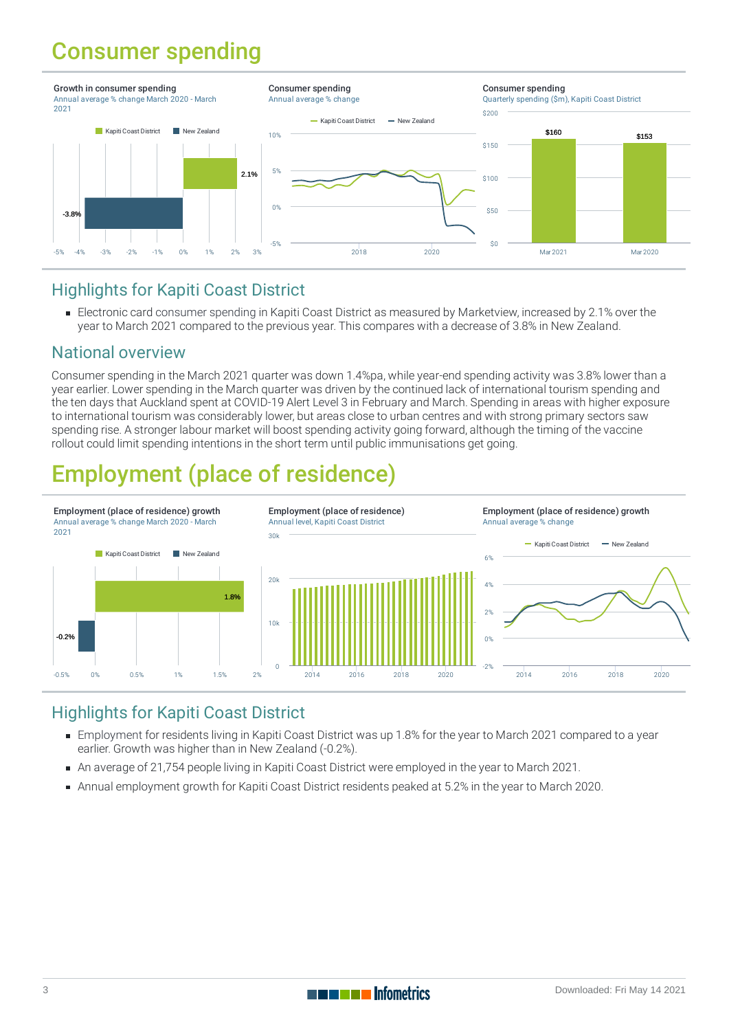## Consumer spending



#### Highlights for Kapiti Coast District

Electronic card [consumer](https://staging-qem.infometrics.co.nz/kapiti-coast-district/notes#consumer-spending) spending in Kapiti Coast District as measured by Marketview, increased by 2.1% over the year to March 2021 compared to the previous year. This compares with a decrease of 3.8% in New Zealand.

#### National overview

Consumer spending in the March 2021 quarter was down 1.4%pa, while year-end spending activity was 3.8% lower than a year earlier. Lower spending in the March quarter was driven by the continued lack of international tourism spending and the ten days that Auckland spent at COVID-19 Alert Level 3 in February and March. Spending in areas with higher exposure to international tourism was considerably lower, but areas close to urban centres and with strong primary sectors saw spending rise. A stronger labour market will boost spending activity going forward, although the timing of the vaccine rollout could limit spending intentions in the short term until public immunisations get going.

# Employment (place of residence)



### Highlights for Kapiti Coast District

- [Employment](https://staging-qem.infometrics.co.nz/kapiti-coast-district/notes#employment) for residents living in Kapiti Coast District was up 1.8% for the year to March 2021 compared to a year earlier. Growth was higher than in New Zealand (-0.2%).
- An average of 21,754 people living in Kapiti Coast District were employed in the year to March 2021.
- Annual employment growth for Kapiti Coast District residents peaked at 5.2% in the year to March 2020.

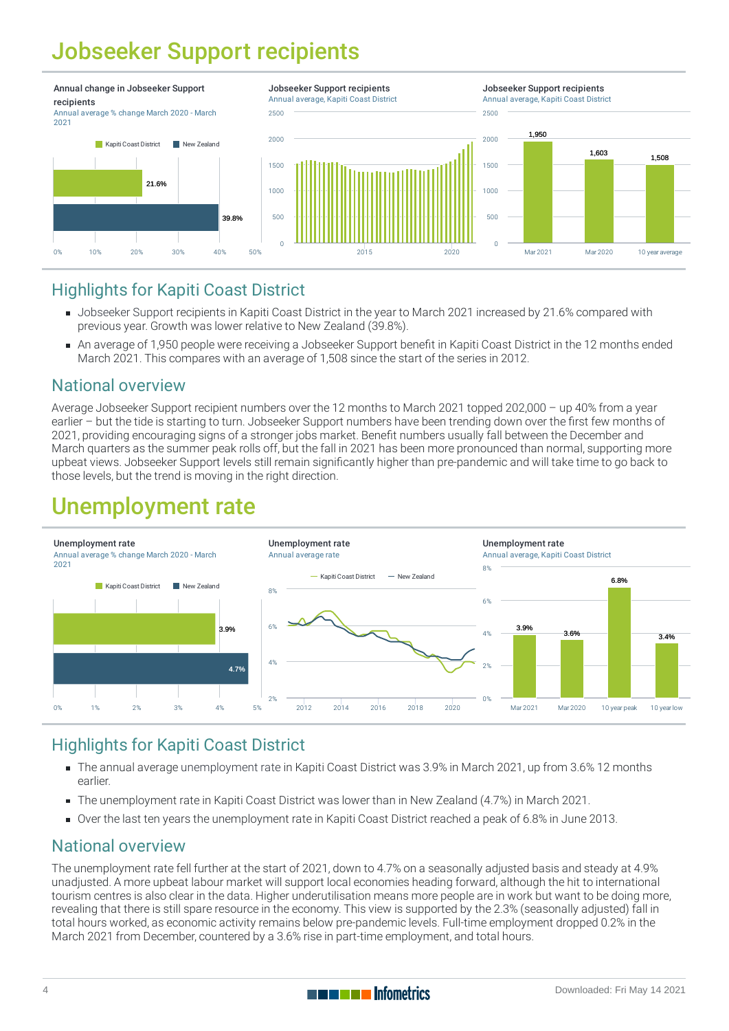# Jobseeker Support recipients



#### Highlights for Kapiti Coast District

- [Jobseeker](https://staging-qem.infometrics.co.nz/kapiti-coast-district/notes#jobseeker-support-recipients) Support recipients in Kapiti Coast District in the year to March 2021 increased by 21.6% compared with previous year. Growth was lower relative to New Zealand (39.8%).
- An average of 1,950 people were receiving a Jobseeker Support benefit in Kapiti Coast District in the 12 months ended March 2021. This compares with an average of 1,508 since the start of the series in 2012.

#### National overview

Average Jobseeker Support recipient numbers over the 12 months to March 2021 topped 202,000 – up 40% from a year earlier – but the tide is starting to turn. Jobseeker Support numbers have been trending down over the first few months of 2021, providing encouraging signs of a stronger jobs market. Benefit numbers usually fall between the December and March quarters as the summer peak rolls off, but the fall in 2021 has been more pronounced than normal, supporting more upbeat views. Jobseeker Support levels still remain significantly higher than pre-pandemic and will take time to go back to those levels, but the trend is moving in the right direction.

## Unemployment rate



#### Highlights for Kapiti Coast District

- The annual average [unemployment](https://staging-qem.infometrics.co.nz/kapiti-coast-district/notes#unemployment-rate) rate in Kapiti Coast District was 3.9% in March 2021, up from 3.6% 12 months earlier.
- The unemployment rate in Kapiti Coast District was lower than in New Zealand (4.7%) in March 2021.
- Over the last ten years the unemployment rate in Kapiti Coast District reached a peak of 6.8% in June 2013.

#### National overview

The unemployment rate fell further at the start of 2021, down to 4.7% on a seasonally adjusted basis and steady at 4.9% unadjusted. A more upbeat labour market will support local economies heading forward, although the hit to international tourism centres is also clear in the data. Higher underutilisation means more people are in work but want to be doing more, revealing that there is still spare resource in the economy. This view is supported by the 2.3% (seasonally adjusted) fall in total hours worked, as economic activity remains below pre-pandemic levels. Full-time employment dropped 0.2% in the March 2021 from December, countered by a 3.6% rise in part-time employment, and total hours.

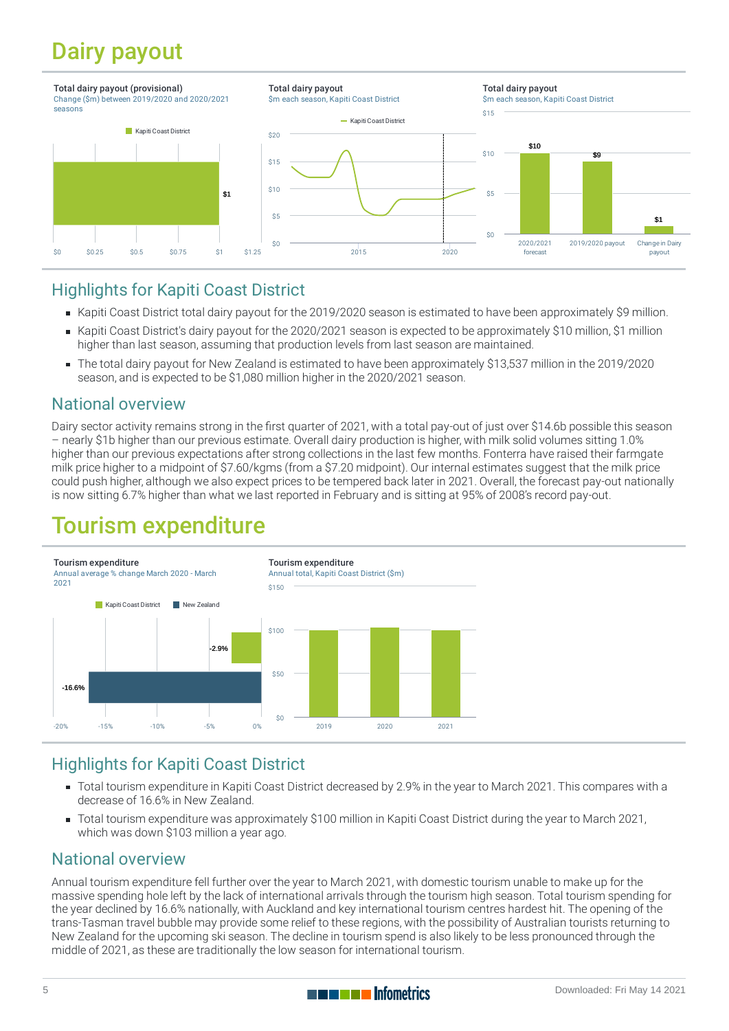# Dairy payout



#### Highlights for Kapiti Coast District

- Kapiti Coast District total dairy payout for the 2019/2020 season is estimated to have been approximately \$9 million.
- Kapiti Coast District's dairy payout for the 2020/2021 season is expected to be approximately \$10 million, \$1 million higher than last season, assuming that production levels from last season are maintained.
- The total dairy payout for New Zealand is estimated to have been approximately \$13,537 million in the 2019/2020 season, and is expected to be \$1,080 million higher in the 2020/2021 season.

#### National overview

Dairy sector activity remains strong in the first quarter of 2021, with a total pay-out of just over \$14.6b possible this season – nearly \$1b higher than our previous estimate. Overall dairy production is higher, with milk solid volumes sitting 1.0% higher than our previous expectations after strong collections in the last few months. Fonterra have raised their farmgate milk price higher to a midpoint of \$7.60/kgms (from a \$7.20 midpoint). Our internal estimates suggest that the milk price could push higher, although we also expect prices to be tempered back later in 2021. Overall, the forecast pay-out nationally is now sitting 6.7% higher than what we last reported in February and is sitting at 95% of 2008's record pay-out.

## Tourism expenditure



### Highlights for Kapiti Coast District

- Total tourism expenditure in Kapiti Coast District decreased by 2.9% in the year to March 2021. This compares with a decrease of 16.6% in New Zealand.
- Total tourism expenditure was approximately \$100 million in Kapiti Coast District during the year to March 2021, which was down \$103 million a year ago.

#### National overview

Annual tourism expenditure fell further over the year to March 2021, with domestic tourism unable to make up for the massive spending hole left by the lack of international arrivals through the tourism high season. Total tourism spending for the year declined by 16.6% nationally, with Auckland and key international tourism centres hardest hit. The opening of the trans-Tasman travel bubble may provide some relief to these regions, with the possibility of Australian tourists returning to New Zealand for the upcoming ski season. The decline in tourism spend is also likely to be less pronounced through the middle of 2021, as these are traditionally the low season for international tourism.

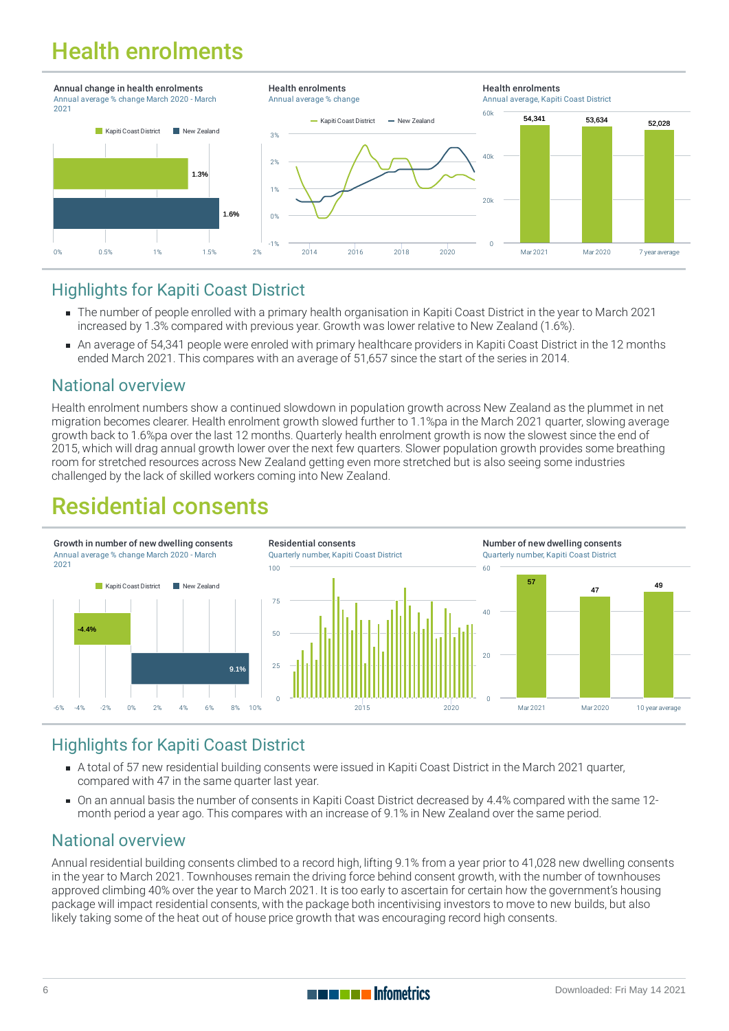# Health enrolments



#### Highlights for Kapiti Coast District

- The number of people [enrolled](https://staging-qem.infometrics.co.nz/kapiti-coast-district/notes#health-enrolments) with a primary health organisation in Kapiti Coast District in the year to March 2021 increased by 1.3% compared with previous year. Growth was lower relative to New Zealand (1.6%).
- An average of 54,341 people were enroled with primary healthcare providers in Kapiti Coast District in the 12 months ended March 2021. This compares with an average of 51,657 since the start of the series in 2014.

#### National overview

Health enrolment numbers show a continued slowdown in population growth across New Zealand as the plummet in net migration becomes clearer. Health enrolment growth slowed further to 1.1%pa in the March 2021 quarter, slowing average growth back to 1.6%pa over the last 12 months. Quarterly health enrolment growth is now the slowest since the end of 2015, which will drag annual growth lower over the next few quarters. Slower population growth provides some breathing room for stretched resources across New Zealand getting even more stretched but is also seeing some industries challenged by the lack of skilled workers coming into New Zealand.

## Residential consents



### Highlights for Kapiti Coast District

- A total of 57 new residential building [consents](https://staging-qem.infometrics.co.nz/kapiti-coast-district/notes#building-consents) were issued in Kapiti Coast District in the March 2021 quarter, compared with 47 in the same quarter last year.
- On an annual basis the number of consents in Kapiti Coast District decreased by 4.4% compared with the same 12 month period a year ago. This compares with an increase of 9.1% in New Zealand over the same period.

#### National overview

Annual residential building consents climbed to a record high, lifting 9.1% from a year prior to 41,028 new dwelling consents in the year to March 2021. Townhouses remain the driving force behind consent growth, with the number of townhouses approved climbing 40% over the year to March 2021. It is too early to ascertain for certain how the government's housing package will impact residential consents, with the package both incentivising investors to move to new builds, but also likely taking some of the heat out of house price growth that was encouraging record high consents.

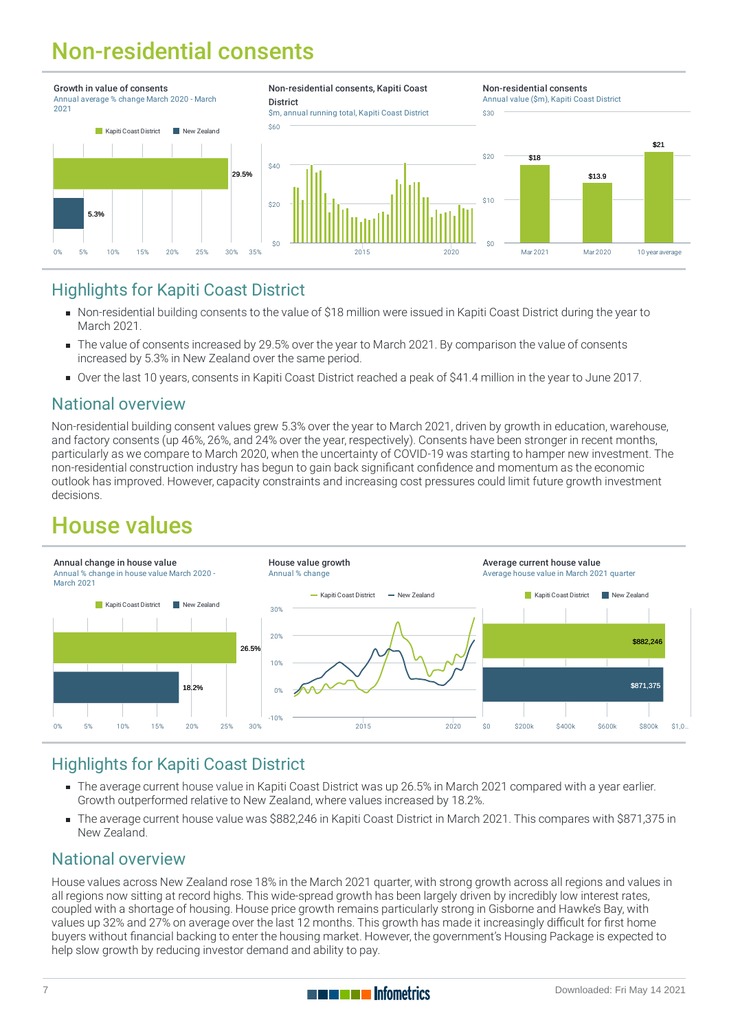# Non-residential consents



#### Highlights for Kapiti Coast District

- Non-residential building [consents](https://staging-qem.infometrics.co.nz/kapiti-coast-district/notes#building-consents) to the value of \$18 million were issued in Kapiti Coast District during the year to March 2021.
- The value of consents increased by 29.5% over the year to March 2021. By comparison the value of consents increased by 5.3% in New Zealand over the same period.
- Over the last 10 years, consents in Kapiti Coast District reached a peak of \$41.4 million in the year to June 2017.

#### National overview

Non-residential building consent values grew 5.3% over the year to March 2021, driven by growth in education, warehouse, and factory consents (up 46%, 26%, and 24% over the year, respectively). Consents have been stronger in recent months, particularly as we compare to March 2020, when the uncertainty of COVID-19 was starting to hamper new investment. The non-residential construction industry has begun to gain back significant confidence and momentum as the economic outlook has improved. However, capacity constraints and increasing cost pressures could limit future growth investment decisions.

## House values



### Highlights for Kapiti Coast District

- The average current [house](https://staging-qem.infometrics.co.nz/kapiti-coast-district/notes#house-values) value in Kapiti Coast District was up 26.5% in March 2021 compared with a year earlier. Growth outperformed relative to New Zealand, where values increased by 18.2%.
- The average current house value was \$882,246 in Kapiti Coast District in March 2021. This compares with \$871,375 in New Zealand.

#### National overview

House values across New Zealand rose 18% in the March 2021 quarter, with strong growth across all regions and values in all regions now sitting at record highs. This wide-spread growth has been largely driven by incredibly low interest rates, coupled with a shortage of housing. House price growth remains particularly strong in Gisborne and Hawke's Bay, with values up 32% and 27% on average over the last 12 months. This growth has made it increasingly difficult for first home buyers without financial backing to enter the housing market. However, the government's Housing Package is expected to help slow growth by reducing investor demand and ability to pay.

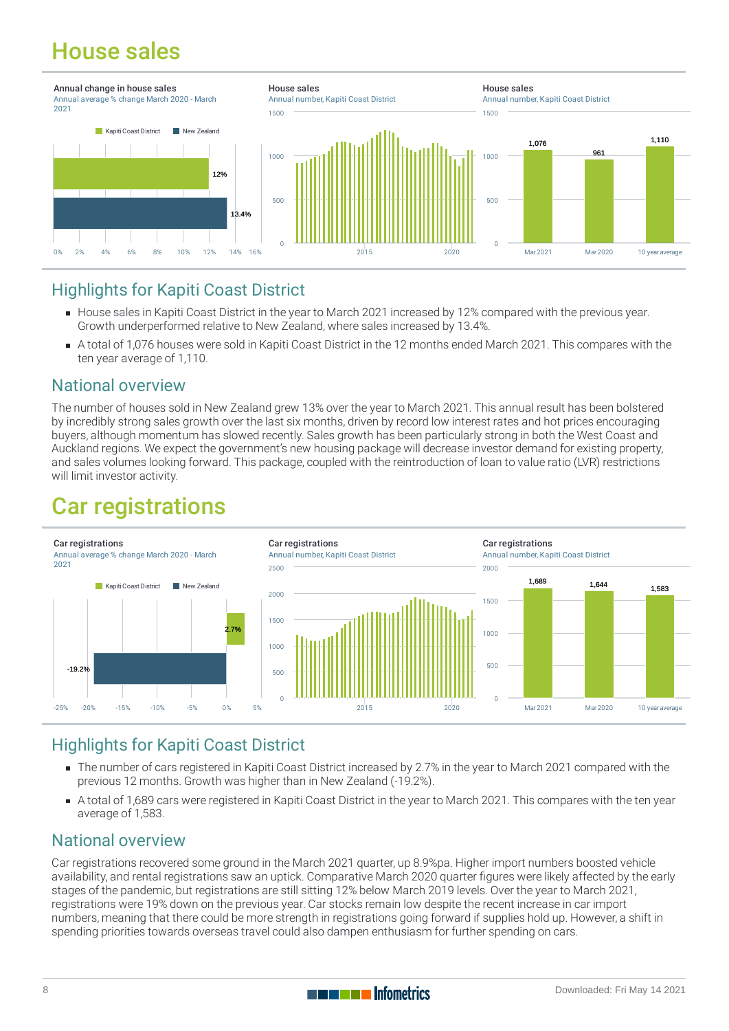# House sales



#### Highlights for Kapiti Coast District

- [House](https://staging-qem.infometrics.co.nz/kapiti-coast-district/notes#house-sales) sales in Kapiti Coast District in the year to March 2021 increased by 12% compared with the previous year. Growth underperformed relative to New Zealand, where sales increased by 13.4%.
- A total of 1,076 houses were sold in Kapiti Coast District in the 12 months ended March 2021. This compares with the ten year average of 1,110.

#### National overview

The number of houses sold in New Zealand grew 13% over the year to March 2021. This annual result has been bolstered by incredibly strong sales growth over the last six months, driven by record low interest rates and hot prices encouraging buyers, although momentum has slowed recently. Sales growth has been particularly strong in both the West Coast and Auckland regions. We expect the government's new housing package will decrease investor demand for existing property, and sales volumes looking forward. This package, coupled with the reintroduction of loan to value ratio (LVR) restrictions will limit investor activity.

## Car registrations



### Highlights for Kapiti Coast District

- The number of cars registered in Kapiti Coast District increased by 2.7% in the year to March 2021 compared with the previous 12 months. Growth was higher than in New Zealand (-19.2%).
- A total of 1,689 cars were registered in Kapiti Coast District in the year to March 2021. This compares with the ten year average of 1,583.

#### National overview

Car registrations recovered some ground in the March 2021 quarter, up 8.9%pa. Higher import numbers boosted vehicle availability, and rental registrations saw an uptick. Comparative March 2020 quarter figures were likely affected by the early stages of the pandemic, but registrations are still sitting 12% below March 2019 levels. Over the year to March 2021, registrations were 19% down on the previous year. Car stocks remain low despite the recent increase in car import numbers, meaning that there could be more strength in registrations going forward if supplies hold up. However, a shift in spending priorities towards overseas travel could also dampen enthusiasm for further spending on cars.

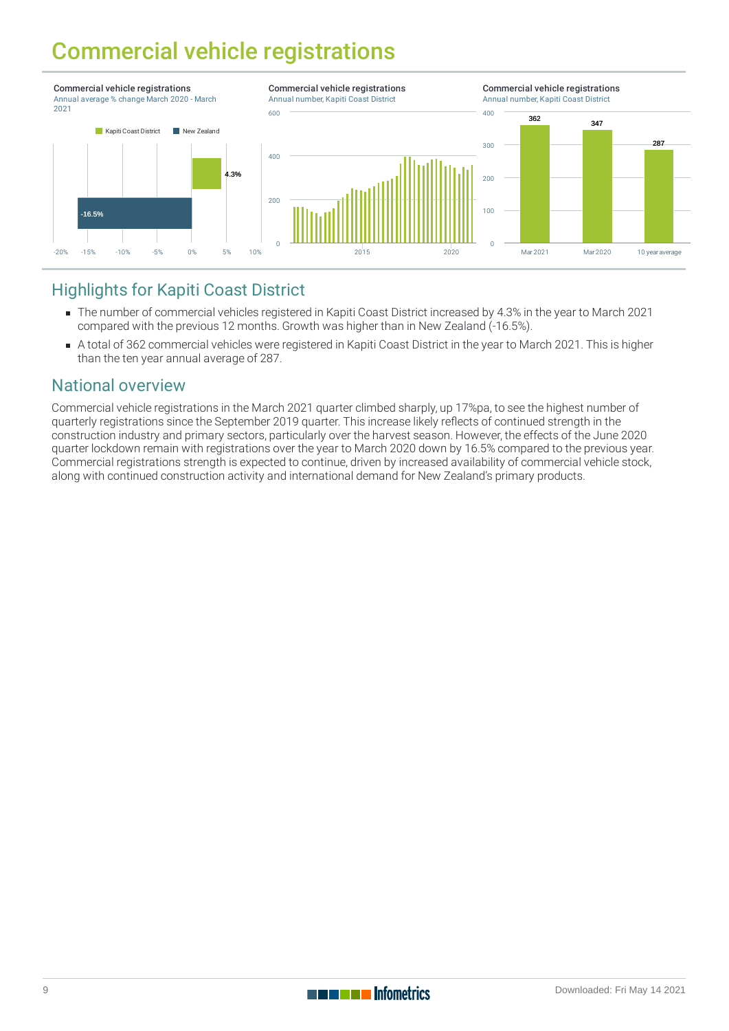## Commercial vehicle registrations



#### Highlights for Kapiti Coast District

- The number of commercial vehicles registered in Kapiti Coast District increased by 4.3% in the year to March 2021 compared with the previous 12 months. Growth was higher than in New Zealand (-16.5%).
- A total of 362 commercial vehicles were registered in Kapiti Coast District in the year to March 2021. This is higher than the ten year annual average of 287.

#### National overview

Commercial vehicle registrations in the March 2021 quarter climbed sharply, up 17%pa, to see the highest number of quarterly registrations since the September 2019 quarter. This increase likely reflects of continued strength in the construction industry and primary sectors, particularly over the harvest season. However, the effects of the June 2020 quarter lockdown remain with registrations over the year to March 2020 down by 16.5% compared to the previous year. Commercial registrations strength is expected to continue, driven by increased availability of commercial vehicle stock, along with continued construction activity and international demand for New Zealand's primary products.

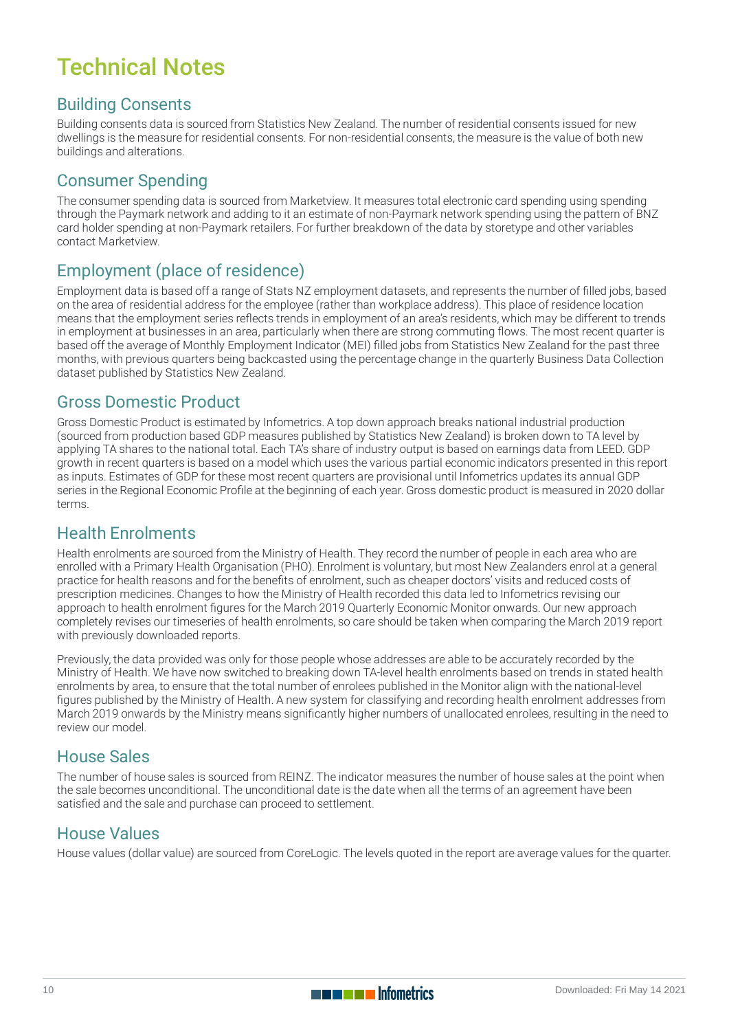# Technical Notes

#### Building Consents

Building consents data is sourced from Statistics New Zealand. The number of residential consents issued for new dwellings is the measure for residential consents. For non-residential consents, the measure is the value of both new buildings and alterations.

#### Consumer Spending

The consumer spending data is sourced from Marketview. It measures total electronic card spending using spending through the Paymark network and adding to it an estimate of non-Paymark network spending using the pattern of BNZ card holder spending at non-Paymark retailers. For further breakdown of the data by storetype and other variables contact Marketview.

#### Employment (place of residence)

Employment data is based off a range of Stats NZ employment datasets, and represents the number of filled jobs, based on the area of residential address for the employee (rather than workplace address). This place of residence location means that the employment series reflects trends in employment of an area's residents, which may be different to trends in employment at businesses in an area, particularly when there are strong commuting flows. The most recent quarter is based off the average of Monthly Employment Indicator (MEI) filled jobs from Statistics New Zealand for the past three months, with previous quarters being backcasted using the percentage change in the quarterly Business Data Collection dataset published by Statistics New Zealand.

#### Gross Domestic Product

Gross Domestic Product is estimated by Infometrics. A top down approach breaks national industrial production (sourced from production based GDP measures published by Statistics New Zealand) is broken down to TA level by applying TA shares to the national total. Each TA's share of industry output is based on earnings data from LEED. GDP growth in recent quarters is based on a model which uses the various partial economic indicators presented in this report as inputs. Estimates of GDP for these most recent quarters are provisional until Infometrics updates its annual GDP series in the Regional Economic Profile at the beginning of each year. Gross domestic product is measured in 2020 dollar terms.

#### Health Enrolments

Health enrolments are sourced from the Ministry of Health. They record the number of people in each area who are enrolled with a Primary Health Organisation (PHO). Enrolment is voluntary, but most New Zealanders enrol at a general practice for health reasons and for the benefits of enrolment, such as cheaper doctors' visits and reduced costs of prescription medicines. Changes to how the Ministry of Health recorded this data led to Infometrics revising our approach to health enrolment figures for the March 2019 Quarterly Economic Monitor onwards. Our new approach completely revises our timeseries of health enrolments, so care should be taken when comparing the March 2019 report with previously downloaded reports.

Previously, the data provided was only for those people whose addresses are able to be accurately recorded by the Ministry of Health. We have now switched to breaking down TA-level health enrolments based on trends in stated health enrolments by area, to ensure that the total number of enrolees published in the Monitor align with the national-level figures published by the Ministry of Health. A new system for classifying and recording health enrolment addresses from March 2019 onwards by the Ministry means significantly higher numbers of unallocated enrolees, resulting in the need to review our model.

#### House Sales

The number of house sales is sourced from REINZ. The indicator measures the number of house sales at the point when the sale becomes unconditional. The unconditional date is the date when all the terms of an agreement have been satisfied and the sale and purchase can proceed to settlement.

#### House Values

House values (dollar value) are sourced from CoreLogic. The levels quoted in the report are average values for the quarter.